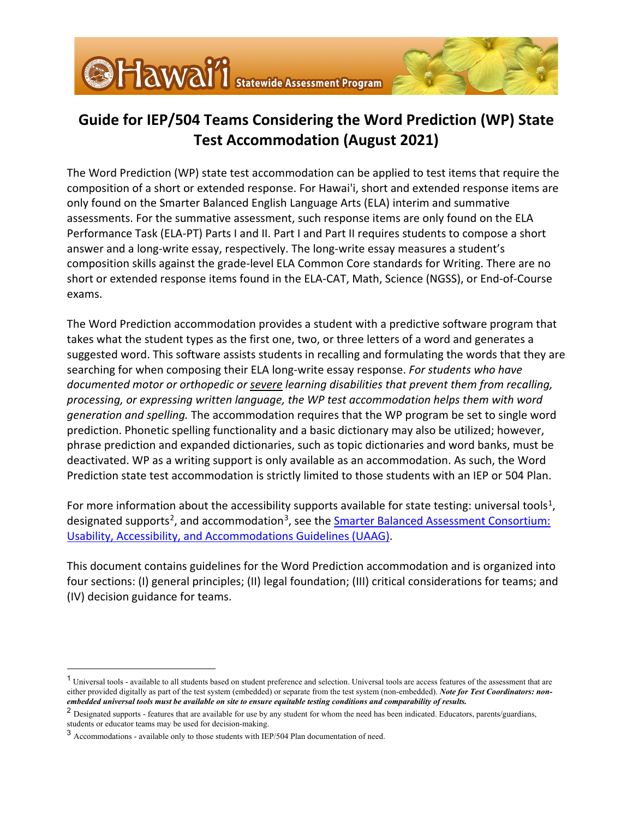# **Guide for IEP/504 Teams Considering the Word Prediction (WP) State Test Accommodation (August 2021)**

The Word Prediction (WP) state test accommodation can be applied to test items that require the composition of a short or extended response. For Hawai'i, short and extended response items are only found on the Smarter Balanced English Language Arts (ELA) interim and summative assessments. For the summative assessment, such response items are only found on the ELA Performance Task (ELA-PT) Parts I and II. Part I and Part II requires students to compose a short answer and a long-write essay, respectively. The long-write essay measures a student's composition skills against the grade-level ELA Common Core standards for Writing. There are no short or extended response items found in the ELA-CAT, Math, Science (NGSS), or End-of-Course exams.

The Word Prediction accommodation provides a student with a predictive software program that takes what the student types as the first one, two, or three letters of a word and generates a suggested word. This software assists students in recalling and formulating the words that they are searching for when composing their ELA long-write essay response. *For students who have documented motor or orthopedic or severe learning disabilities that prevent them from recalling, processing, or expressing written language, the WP test accommodation helps them with word generation and spelling.* The accommodation requires that the WP program be set to single word prediction. Phonetic spelling functionality and a basic dictionary may also be utilized; however, phrase prediction and expanded dictionaries, such as topic dictionaries and word banks, must be deactivated. WP as a writing support is only available as an accommodation. As such, the Word Prediction state test accommodation is strictly limited to those students with an IEP or 504 Plan.

For more information about the accessibility supports available for state testing: universal tools<sup>1</sup>, designated supports<sup>2</sup>, and accommodation<sup>[3](#page-0-2)</sup>, see the **Smarter Balanced Assessment Consortium**: [Usability, Accessibility, and Accommodations Guidelines \(UAAG\).](https://smarterbalanced.alohahsap.org/resources/resources-2021-2022/usability-accessibility-and-accommodations-guidelines-2021-2022)

This document contains guidelines for the Word Prediction accommodation and is organized into four sections: (I) general principles; (II) legal foundation; (III) critical considerations for teams; and (IV) decision guidance for teams.

<span id="page-0-0"></span><sup>&</sup>lt;sup>1</sup> Universal tools - available to all students based on student preference and selection. Universal tools are access features of the assessment that are either provided digitally as part of the test system (embedded) or separate from the test system (non-embedded). *Note for Test Coordinators: nonembedded universal tools must be available on site to ensure equitable testing conditions and comparability of results.*

<span id="page-0-1"></span><sup>&</sup>lt;sup>2</sup> Designated supports - features that are available for use by any student for whom the need has been indicated. Educators, parents/guardians, students or educator teams may be used for decision-making.

<span id="page-0-2"></span><sup>3</sup> Accommodations - available only to those students with IEP/504 Plan documentation of need.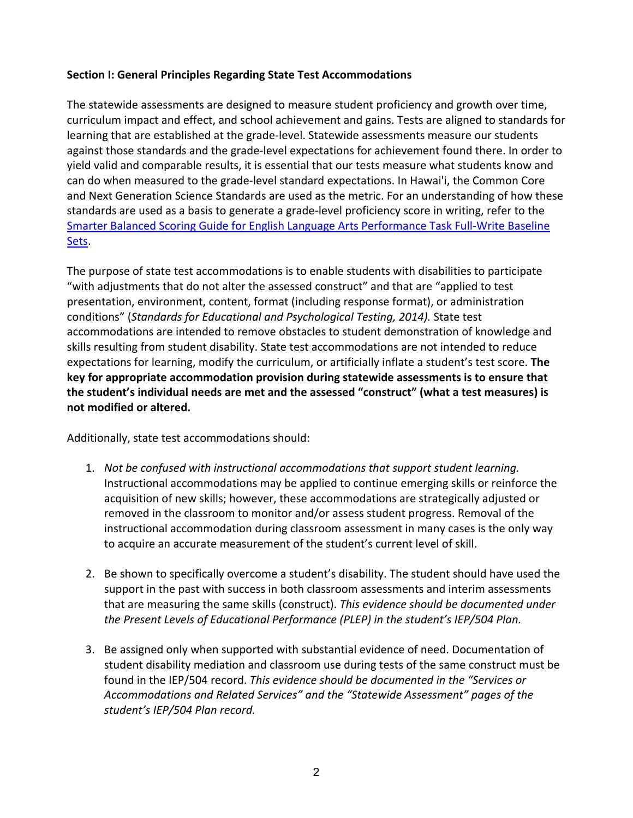#### **Section I: General Principles Regarding State Test Accommodations**

The statewide assessments are designed to measure student proficiency and growth over time, curriculum impact and effect, and school achievement and gains. Tests are aligned to standards for learning that are established at the grade-level. Statewide assessments measure our students against those standards and the grade-level expectations for achievement found there. In order to yield valid and comparable results, it is essential that our tests measure what students know and can do when measured to the grade-level standard expectations. In Hawai'i, the Common Core and Next Generation Science Standards are used as the metric. For an understanding of how these standards are used as a basis to generate a grade-level proficiency score in writing, refer to the [Smarter Balanced Scoring Guide for English Language Arts Performance Task Full-Write Baseline](https://smarterbalanced.alohahsap.org/resources/resources-2020-2021/scoring-guide-for-ela-full-writes)  [Sets.](https://smarterbalanced.alohahsap.org/resources/resources-2020-2021/scoring-guide-for-ela-full-writes)

The purpose of state test accommodations is to enable students with disabilities to participate "with adjustments that do not alter the assessed construct" and that are "applied to test presentation, environment, content, format (including response format), or administration conditions" (*Standards for Educational and Psychological Testing, 2014).* State test accommodations are intended to remove obstacles to student demonstration of knowledge and skills resulting from student disability. State test accommodations are not intended to reduce expectations for learning, modify the curriculum, or artificially inflate a student's test score. **The key for appropriate accommodation provision during statewide assessments is to ensure that the student's individual needs are met and the assessed "construct" (what a test measures) is not modified or altered.**

Additionally, state test accommodations should:

- 1. *Not be confused with instructional accommodations that support student learning.* Instructional accommodations may be applied to continue emerging skills or reinforce the acquisition of new skills; however, these accommodations are strategically adjusted or removed in the classroom to monitor and/or assess student progress. Removal of the instructional accommodation during classroom assessment in many cases is the only way to acquire an accurate measurement of the student's current level of skill.
- 2. Be shown to specifically overcome a student's disability. The student should have used the support in the past with success in both classroom assessments and interim assessments that are measuring the same skills (construct). *This evidence should be documented under the Present Levels of Educational Performance (PLEP) in the student's IEP/504 Plan.*
- 3. Be assigned only when supported with substantial evidence of need. Documentation of student disability mediation and classroom use during tests of the same construct must be found in the IEP/504 record. *This evidence should be documented in the "Services or Accommodations and Related Services" and the "Statewide Assessment" pages of the student's IEP/504 Plan record.*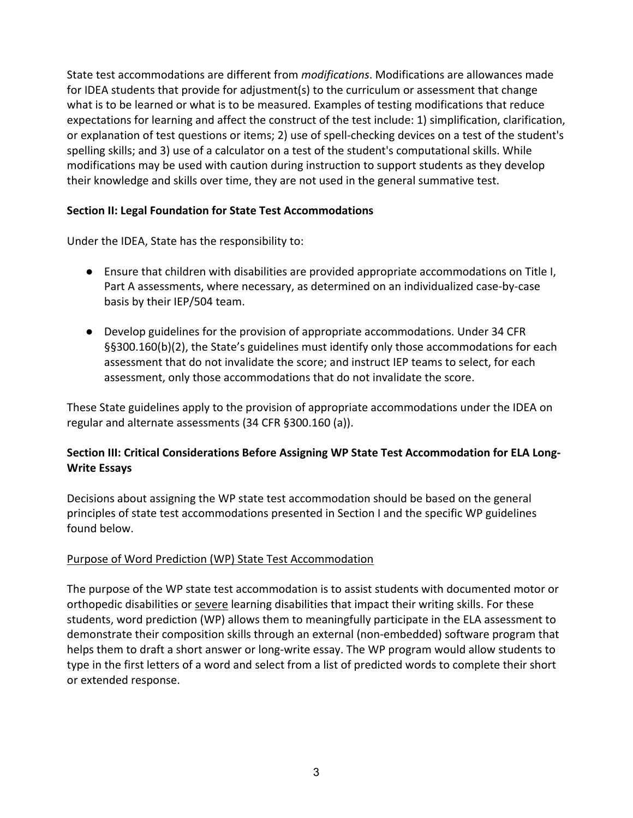State test accommodations are different from *modifications*. Modifications are allowances made for IDEA students that provide for adjustment(s) to the curriculum or assessment that change what is to be learned or what is to be measured. Examples of testing modifications that reduce expectations for learning and affect the construct of the test include: 1) simplification, clarification, or explanation of test questions or items; 2) use of spell-checking devices on a test of the student's spelling skills; and 3) use of a calculator on a test of the student's computational skills. While modifications may be used with caution during instruction to support students as they develop their knowledge and skills over time, they are not used in the general summative test.

#### **Section II: Legal Foundation for State Test Accommodations**

Under the IDEA, State has the responsibility to:

- Ensure that children with disabilities are provided appropriate accommodations on Title I, Part A assessments, where necessary, as determined on an individualized case-by-case basis by their IEP/504 team.
- Develop guidelines for the provision of appropriate accommodations. Under 34 CFR §§300.160(b)(2), the State's guidelines must identify only those accommodations for each assessment that do not invalidate the score; and instruct IEP teams to select, for each assessment, only those accommodations that do not invalidate the score.

These State guidelines apply to the provision of appropriate accommodations under the IDEA on regular and alternate assessments (34 CFR §300.160 (a)).

## **Section III: Critical Considerations Before Assigning WP State Test Accommodation for ELA Long-Write Essays**

Decisions about assigning the WP state test accommodation should be based on the general principles of state test accommodations presented in Section I and the specific WP guidelines found below.

#### Purpose of Word Prediction (WP) State Test Accommodation

The purpose of the WP state test accommodation is to assist students with documented motor or orthopedic disabilities or severe learning disabilities that impact their writing skills. For these students, word prediction (WP) allows them to meaningfully participate in the ELA assessment to demonstrate their composition skills through an external (non-embedded) software program that helps them to draft a short answer or long-write essay. The WP program would allow students to type in the first letters of a word and select from a list of predicted words to complete their short or extended response.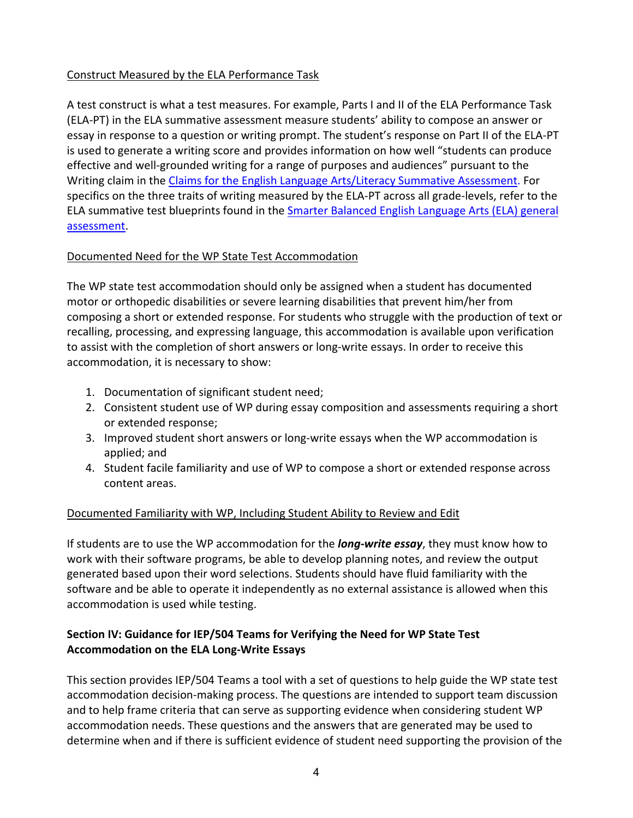#### Construct Measured by the ELA Performance Task

A test construct is what a test measures. For example, Parts I and II of the ELA Performance Task (ELA-PT) in the ELA summative assessment measure students' ability to compose an answer or essay in response to a question or writing prompt. The student's response on Part II of the ELA-PT is used to generate a writing score and provides information on how well "students can produce effective and well-grounded writing for a range of purposes and audiences" pursuant to the Writing claim in the [Claims for the English Language Arts/Literacy Summative Assessment.](https://portal.smarterbalanced.org/library/en/claims-for-the-ela-literacy-summative-assessments.pdf) For specifics on the three traits of writing measured by the ELA-PT across all grade-levels, refer to the ELA summative test blueprints found in the [Smarter Balanced English Language Arts \(ELA\) general](https://smarterbalanced.alohahsap.org/resources/resources-2020-2021/hawaii-shortened-summative-assessment-final-blueprints)  [assessment.](https://smarterbalanced.alohahsap.org/resources/resources-2020-2021/hawaii-shortened-summative-assessment-final-blueprints)

#### Documented Need for the WP State Test Accommodation

The WP state test accommodation should only be assigned when a student has documented motor or orthopedic disabilities or severe learning disabilities that prevent him/her from composing a short or extended response. For students who struggle with the production of text or recalling, processing, and expressing language, this accommodation is available upon verification to assist with the completion of short answers or long-write essays. In order to receive this accommodation, it is necessary to show:

- 1. Documentation of significant student need;
- 2. Consistent student use of WP during essay composition and assessments requiring a short or extended response;
- 3. Improved student short answers or long-write essays when the WP accommodation is applied; and
- 4. Student facile familiarity and use of WP to compose a short or extended response across content areas.

#### Documented Familiarity with WP, Including Student Ability to Review and Edit

If students are to use the WP accommodation for the *long-write essay*, they must know how to work with their software programs, be able to develop planning notes, and review the output generated based upon their word selections. Students should have fluid familiarity with the software and be able to operate it independently as no external assistance is allowed when this accommodation is used while testing.

### **Section IV: Guidance for IEP/504 Teams for Verifying the Need for WP State Test Accommodation on the ELA Long-Write Essays**

This section provides IEP/504 Teams a tool with a set of questions to help guide the WP state test accommodation decision-making process. The questions are intended to support team discussion and to help frame criteria that can serve as supporting evidence when considering student WP accommodation needs. These questions and the answers that are generated may be used to determine when and if there is sufficient evidence of student need supporting the provision of the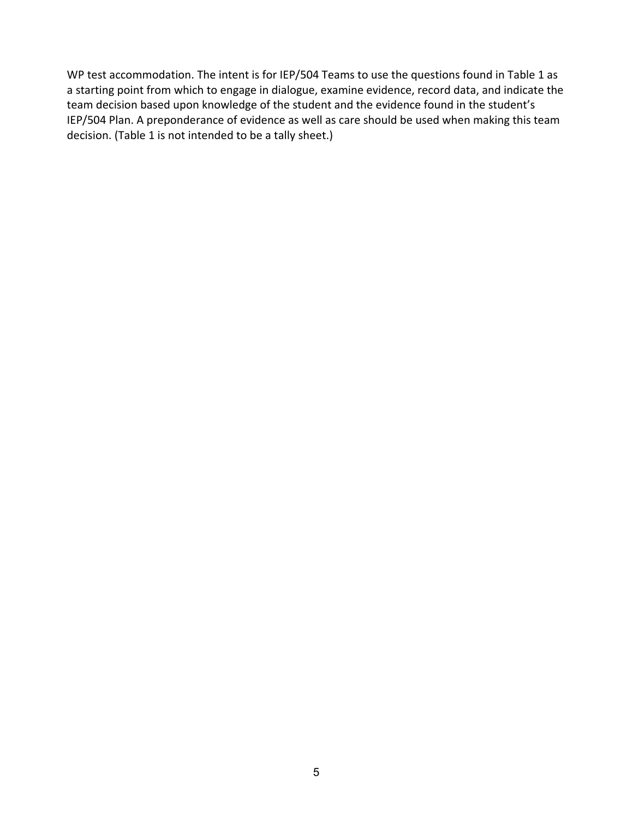WP test accommodation. The intent is for IEP/504 Teams to use the questions found in Table 1 as a starting point from which to engage in dialogue, examine evidence, record data, and indicate the team decision based upon knowledge of the student and the evidence found in the student's IEP/504 Plan. A preponderance of evidence as well as care should be used when making this team decision. (Table 1 is not intended to be a tally sheet.)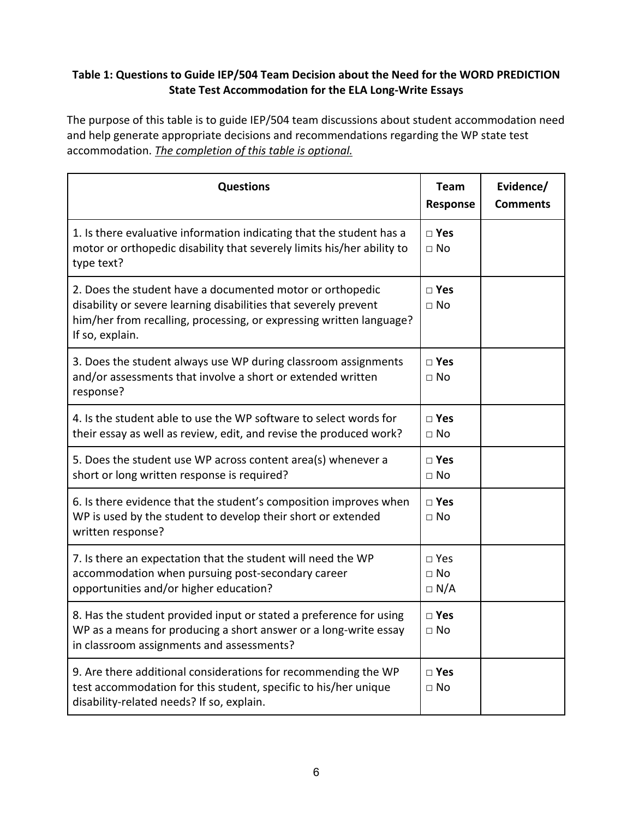#### **Table 1: Questions to Guide IEP/504 Team Decision about the Need for the WORD PREDICTION State Test Accommodation for the ELA Long-Write Essays**

The purpose of this table is to guide IEP/504 team discussions about student accommodation need and help generate appropriate decisions and recommendations regarding the WP state test accommodation. *The completion of this table is optional.*

| <b>Questions</b>                                                                                                                                                                                                        | <b>Team</b><br>Response                  | Evidence/<br><b>Comments</b> |
|-------------------------------------------------------------------------------------------------------------------------------------------------------------------------------------------------------------------------|------------------------------------------|------------------------------|
| 1. Is there evaluative information indicating that the student has a<br>motor or orthopedic disability that severely limits his/her ability to<br>type text?                                                            | $\square$ Yes<br>$\Box$ No               |                              |
| 2. Does the student have a documented motor or orthopedic<br>disability or severe learning disabilities that severely prevent<br>him/her from recalling, processing, or expressing written language?<br>If so, explain. | $\square$ Yes<br>$\Box$ No               |                              |
| 3. Does the student always use WP during classroom assignments<br>and/or assessments that involve a short or extended written<br>response?                                                                              | $\square$ Yes<br>$\square$ No            |                              |
| 4. Is the student able to use the WP software to select words for<br>their essay as well as review, edit, and revise the produced work?                                                                                 | $\square$ Yes<br>$\square$ No            |                              |
| 5. Does the student use WP across content area(s) whenever a<br>short or long written response is required?                                                                                                             | $\square$ Yes<br>$\Box$ No               |                              |
| 6. Is there evidence that the student's composition improves when<br>WP is used by the student to develop their short or extended<br>written response?                                                                  | $\square$ Yes<br>$\Box$ No               |                              |
| 7. Is there an expectation that the student will need the WP<br>accommodation when pursuing post-secondary career<br>opportunities and/or higher education?                                                             | $\square$ Yes<br>$\Box$ No<br>$\Box$ N/A |                              |
| 8. Has the student provided input or stated a preference for using<br>WP as a means for producing a short answer or a long-write essay<br>in classroom assignments and assessments?                                     | $\square$ Yes<br>$\square$ No            |                              |
| 9. Are there additional considerations for recommending the WP<br>test accommodation for this student, specific to his/her unique<br>disability-related needs? If so, explain.                                          | □ Yes<br>$\square$ No                    |                              |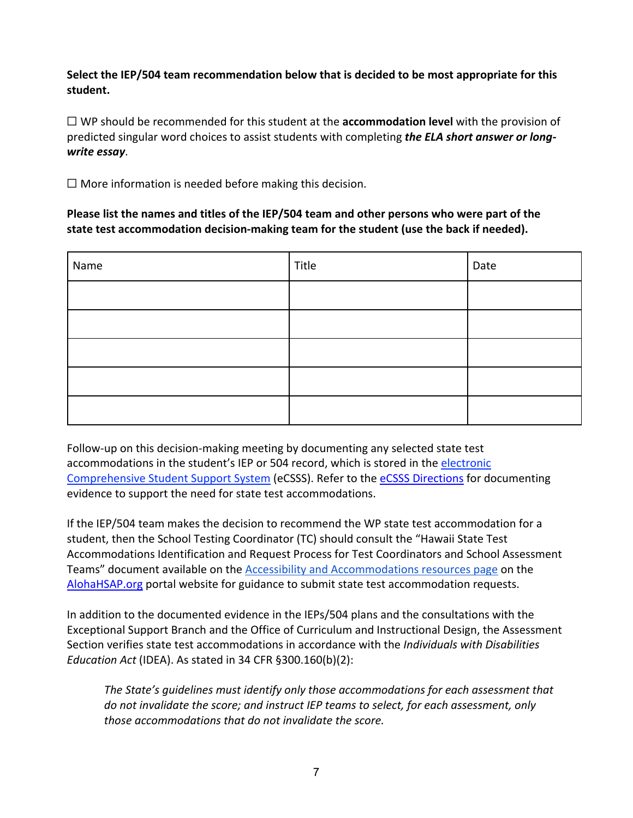**Select the IEP/504 team recommendation below that is decided to be most appropriate for this student.**

☐ WP should be recommended for this student at the **accommodation level** with the provision of predicted singular word choices to assist students with completing *the ELA short answer or longwrite essay*.

 $\Box$  More information is needed before making this decision.

**Please list the names and titles of the IEP/504 team and other persons who were part of the state test accommodation decision-making team for the student (use the back if needed).** 

| Name | Title | Date |
|------|-------|------|
|      |       |      |
|      |       |      |
|      |       |      |
|      |       |      |
|      |       |      |

Follow-up on this decision-making meeting by documenting any selected state test accommodations in the student's IEP or 504 record, which is stored in the electronic [Comprehensive Student Support System](https://www.ecsss.k12.hi.us/) (eCSSS). Refer to the [eCSSS Directions](https://smarterbalanced.alohahsap.org/resources/resources-2018-2019/ecsss-directions) for documenting evidence to support the need for state test accommodations.

If the IEP/504 team makes the decision to recommend the WP state test accommodation for a student, then the School Testing Coordinator (TC) should consult the "Hawaii State Test Accommodations Identification and Request Process for Test Coordinators and School Assessment Teams" document available on the [Accessibility and Accommodations resources page](https://smarterbalanced.alohahsap.org/resources#school_year_sm=2021-2022&topic_sm=Accessibility%20and%20Accommodations) on the [AlohaHSAP.org](https://alohahsap.org/) portal website for guidance to submit state test accommodation requests.

In addition to the documented evidence in the IEPs/504 plans and the consultations with the Exceptional Support Branch and the Office of Curriculum and Instructional Design, the Assessment Section verifies state test accommodations in accordance with the *Individuals with Disabilities Education Act* (IDEA). As stated in 34 CFR §300.160(b)(2):

*The State's guidelines must identify only those accommodations for each assessment that do not invalidate the score; and instruct IEP teams to select, for each assessment, only those accommodations that do not invalidate the score.*